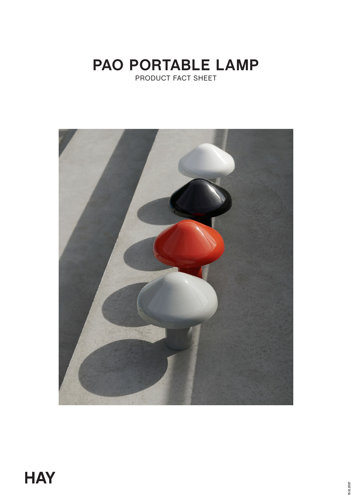# **PAO PORTABLE LAMP** PRODUCT FACT SHEET

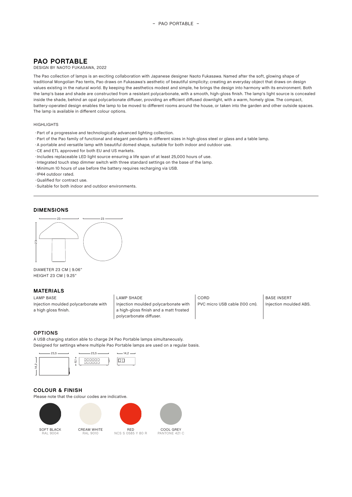## **PAO PORTABLE**

### DESIGN BY NAOTO FUKASAWA, 2022

The Pao collection of lamps is an exciting collaboration with Japanese designer Naoto Fukasawa. Named after the soft, glowing shape of traditional Mongolian Pao tents, Pao draws on Fukasawa's aesthetic of beautiful simplicity; creating an everyday object that draws on design values existing in the natural world. By keeping the aesthetics modest and simple, he brings the design into harmony with its environment. Both the lamp's base and shade are constructed from a resistant polycarbonate, with a smooth, high-gloss finish. The lamp's light source is concealed inside the shade, behind an opal polycarbonate diffuser, providing an efficient diffused downlight, with a warm, homely glow. The compact, battery-operated design enables the lamp to be moved to different rooms around the house, or taken into the garden and other outside spaces. The lamp is available in different colour options.

#### HIGHLIGHTS

- · Part of a progressive and technologically advanced lighting collection.
- ◊ Part of the Pao family of functional and elegant pendants in different sizes in high-gloss steel or glass and a table lamp.
- ◊ A portable and versatile lamp with beautiful domed shape, suitable for both indoor and outdoor use.
- **· CE and ETL approved for both EU and US markets.**
- · Includes replaceable LED light source ensuring a life span of at least 25,000 hours of use.
- Integrated touch step dimmer switch with three standard settings on the base of the lamp.
- ◊ Minimum 10 hours of use before the battery requires recharging via USB.
- · IP44 outdoor rated.
- ◊ Qualified for contract use.
- ◊ Suitable for both indoor and outdoor environments.

#### **DIMENSIONS**



DIAMETER 23 CM | 9.06" HEIGHT 23 CM | 9.25"

#### **MATERIALS**

Injection moulded polycarbonate with a high gloss finish.

#### LAMP BASE LAMP SHADE CORD BASE INSERT Injection moulded polycarbonate with a high-gloss finish and a matt frosted polycarbonate diffuser.

PVC micro USB cable (100 cm). | Injection moulded ABS.

#### **OPTIONS**

A USB charging station able to charge 24 Pao Portable lamps simultaneously. Designed for settings where multiple Pao Portable lamps are used on a regular basis.



## **COLOUR & FINISH**

Please note that the colour codes are indicative.





RED NCS S 0585 Y 80 R